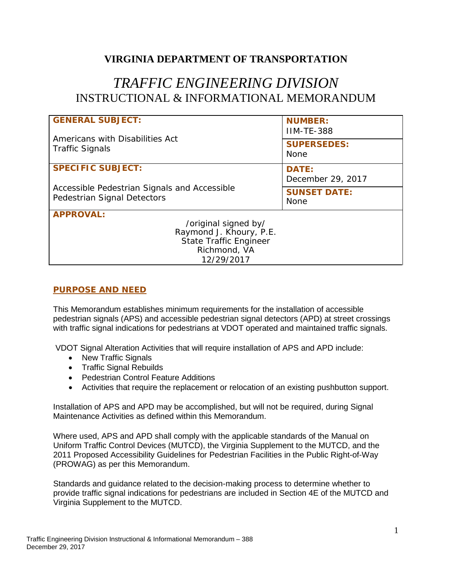## **VIRGINIA DEPARTMENT OF TRANSPORTATION**

# *TRAFFIC ENGINEERING DIVISION* INSTRUCTIONAL & INFORMATIONAL MEMORANDUM

| <b>GENERAL SUBJECT:</b>                                                     | <b>NUMBER:</b><br><b>IIM-TE-388</b> |
|-----------------------------------------------------------------------------|-------------------------------------|
| Americans with Disabilities Act<br><b>Traffic Signals</b>                   | <b>SUPERSEDES:</b><br><b>None</b>   |
| <b>SPECIFIC SUBJECT:</b>                                                    | <b>DATE:</b><br>December 29, 2017   |
| Accessible Pedestrian Signals and Accessible<br>Pedestrian Signal Detectors | <b>SUNSET DATE:</b><br><b>None</b>  |
| <b>APPROVAL:</b>                                                            |                                     |
| /original signed by/                                                        |                                     |
| Raymond J. Khoury, P.E.                                                     |                                     |
| <b>State Traffic Engineer</b>                                               |                                     |
| Richmond, VA                                                                |                                     |
| 12/29/2017                                                                  |                                     |

## **PURPOSE AND NEED**

This Memorandum establishes minimum requirements for the installation of accessible pedestrian signals (APS) and accessible pedestrian signal detectors (APD) at street crossings with traffic signal indications for pedestrians at VDOT operated and maintained traffic signals.

VDOT Signal Alteration Activities that will require installation of APS and APD include:

- New Traffic Signals
- Traffic Signal Rebuilds
- Pedestrian Control Feature Additions
- Activities that require the replacement or relocation of an existing pushbutton support.

Installation of APS and APD may be accomplished, but will not be required, during Signal Maintenance Activities as defined within this Memorandum.

Where used, APS and APD shall comply with the applicable standards of the Manual on Uniform Traffic Control Devices (MUTCD), the Virginia Supplement to the MUTCD, and the 2011 Proposed Accessibility Guidelines for Pedestrian Facilities in the Public Right-of-Way (PROWAG) as per this Memorandum.

Standards and guidance related to the decision-making process to determine whether to provide traffic signal indications for pedestrians are included in Section 4E of the MUTCD and Virginia Supplement to the MUTCD.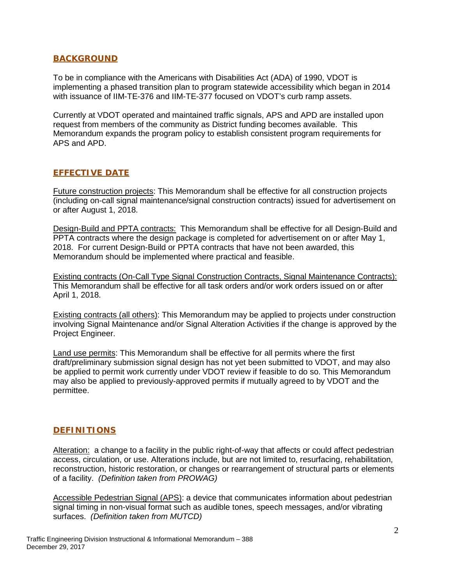#### **BACKGROUND**

To be in compliance with the Americans with Disabilities Act (ADA) of 1990, VDOT is implementing a phased transition plan to program statewide accessibility which began in 2014 with issuance of IIM-TE-376 and IIM-TE-377 focused on VDOT's curb ramp assets.

Currently at VDOT operated and maintained traffic signals, APS and APD are installed upon request from members of the community as District funding becomes available. This Memorandum expands the program policy to establish consistent program requirements for APS and APD.

## **EFFECTIVE DATE**

Future construction projects: This Memorandum shall be effective for all construction projects (including on-call signal maintenance/signal construction contracts) issued for advertisement on or after August 1, 2018.

Design-Build and PPTA contracts: This Memorandum shall be effective for all Design-Build and PPTA contracts where the design package is completed for advertisement on or after May 1, 2018. For current Design-Build or PPTA contracts that have not been awarded, this Memorandum should be implemented where practical and feasible.

Existing contracts (On-Call Type Signal Construction Contracts, Signal Maintenance Contracts): This Memorandum shall be effective for all task orders and/or work orders issued on or after April 1, 2018.

Existing contracts (all others): This Memorandum may be applied to projects under construction involving Signal Maintenance and/or Signal Alteration Activities if the change is approved by the Project Engineer.

Land use permits: This Memorandum shall be effective for all permits where the first draft/preliminary submission signal design has not yet been submitted to VDOT, and may also be applied to permit work currently under VDOT review if feasible to do so. This Memorandum may also be applied to previously-approved permits if mutually agreed to by VDOT and the permittee.

## **DEFINITIONS**

Alteration: a change to a facility in the public right-of-way that affects or could affect pedestrian access, circulation, or use. Alterations include, but are not limited to, resurfacing, rehabilitation, reconstruction, historic restoration, or changes or rearrangement of structural parts or elements of a facility. *(Definition taken from PROWAG)*

Accessible Pedestrian Signal (APS): a device that communicates information about pedestrian signal timing in non-visual format such as audible tones, speech messages, and/or vibrating surfaces. *(Definition taken from MUTCD)*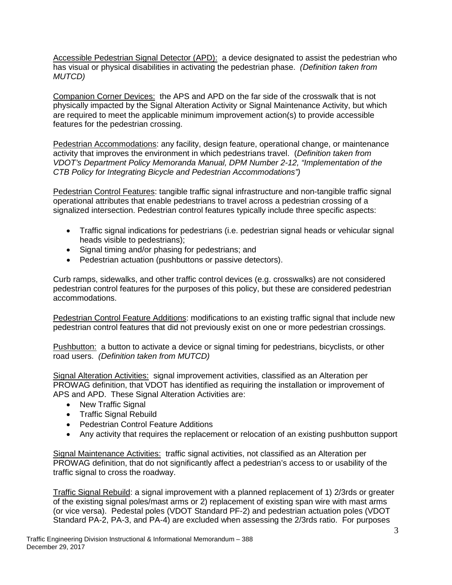Accessible Pedestrian Signal Detector (APD): a device designated to assist the pedestrian who has visual or physical disabilities in activating the pedestrian phase. *(Definition taken from MUTCD)*

Companion Corner Devices: the APS and APD on the far side of the crosswalk that is not physically impacted by the Signal Alteration Activity or Signal Maintenance Activity, but which are required to meet the applicable minimum improvement action(s) to provide accessible features for the pedestrian crossing.

Pedestrian Accommodations: any facility, design feature, operational change, or maintenance activity that improves the environment in which pedestrians travel. (*Definition taken from VDOT's Department Policy Memoranda Manual, DPM Number 2-12, "Implementation of the CTB Policy for Integrating Bicycle and Pedestrian Accommodations")*

Pedestrian Control Features: tangible traffic signal infrastructure and non-tangible traffic signal operational attributes that enable pedestrians to travel across a pedestrian crossing of a signalized intersection. Pedestrian control features typically include three specific aspects:

- Traffic signal indications for pedestrians (i.e. pedestrian signal heads or vehicular signal heads visible to pedestrians);
- Signal timing and/or phasing for pedestrians; and
- Pedestrian actuation (pushbuttons or passive detectors).

Curb ramps, sidewalks, and other traffic control devices (e.g. crosswalks) are not considered pedestrian control features for the purposes of this policy, but these are considered pedestrian accommodations.

Pedestrian Control Feature Additions: modifications to an existing traffic signal that include new pedestrian control features that did not previously exist on one or more pedestrian crossings.

Pushbutton: a button to activate a device or signal timing for pedestrians, bicyclists, or other road users. *(Definition taken from MUTCD)*

Signal Alteration Activities: signal improvement activities, classified as an Alteration per PROWAG definition, that VDOT has identified as requiring the installation or improvement of APS and APD. These Signal Alteration Activities are:

- New Traffic Signal
- Traffic Signal Rebuild
- Pedestrian Control Feature Additions
- Any activity that requires the replacement or relocation of an existing pushbutton support

Signal Maintenance Activities:traffic signal activities, not classified as an Alteration per PROWAG definition, that do not significantly affect a pedestrian's access to or usability of the traffic signal to cross the roadway.

Traffic Signal Rebuild: a signal improvement with a planned replacement of 1) 2/3rds or greater of the existing signal poles/mast arms or 2) replacement of existing span wire with mast arms (or vice versa). Pedestal poles (VDOT Standard PF-2) and pedestrian actuation poles (VDOT Standard PA-2, PA-3, and PA-4) are excluded when assessing the 2/3rds ratio. For purposes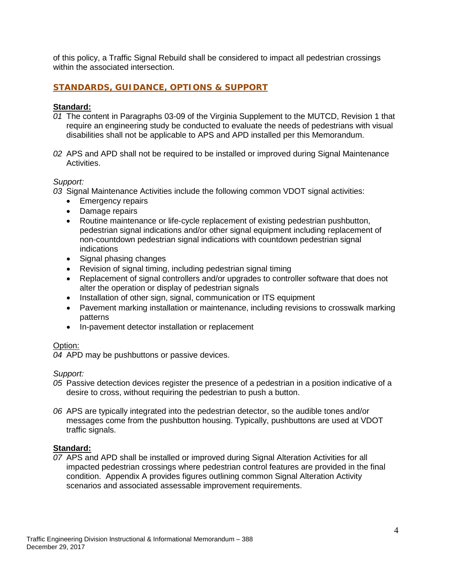of this policy, a Traffic Signal Rebuild shall be considered to impact all pedestrian crossings within the associated intersection.

## **STANDARDS, GUIDANCE, OPTIONS & SUPPORT**

#### **Standard:**

- *01* The content in Paragraphs 03-09 of the Virginia Supplement to the MUTCD, Revision 1 that require an engineering study be conducted to evaluate the needs of pedestrians with visual disabilities shall not be applicable to APS and APD installed per this Memorandum.
- *02* APS and APD shall not be required to be installed or improved during Signal Maintenance Activities.

#### *Support:*

*03* Signal Maintenance Activities include the following common VDOT signal activities:

- Emergency repairs
- Damage repairs
- Routine maintenance or life-cycle replacement of existing pedestrian pushbutton, pedestrian signal indications and/or other signal equipment including replacement of non-countdown pedestrian signal indications with countdown pedestrian signal indications
- Signal phasing changes
- Revision of signal timing, including pedestrian signal timing
- Replacement of signal controllers and/or upgrades to controller software that does not alter the operation or display of pedestrian signals
- Installation of other sign, signal, communication or ITS equipment
- Pavement marking installation or maintenance, including revisions to crosswalk marking patterns
- In-pavement detector installation or replacement

#### Option:

*04* APD may be pushbuttons or passive devices.

#### *Support:*

- *05* Passive detection devices register the presence of a pedestrian in a position indicative of a desire to cross, without requiring the pedestrian to push a button.
- *06* APS are typically integrated into the pedestrian detector, so the audible tones and/or messages come from the pushbutton housing. Typically, pushbuttons are used at VDOT traffic signals.

#### **Standard:**

*07* APS and APD shall be installed or improved during Signal Alteration Activities for all impacted pedestrian crossings where pedestrian control features are provided in the final condition. Appendix A provides figures outlining common Signal Alteration Activity scenarios and associated assessable improvement requirements.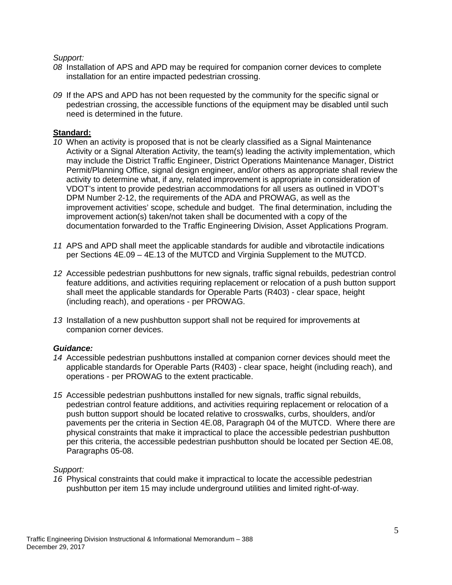#### *Support:*

- *08* Installation of APS and APD may be required for companion corner devices to complete installation for an entire impacted pedestrian crossing.
- *09* If the APS and APD has not been requested by the community for the specific signal or pedestrian crossing, the accessible functions of the equipment may be disabled until such need is determined in the future.

## **Standard:**

- *10* When an activity is proposed that is not be clearly classified as a Signal Maintenance Activity or a Signal Alteration Activity, the team(s) leading the activity implementation, which may include the District Traffic Engineer, District Operations Maintenance Manager, District Permit/Planning Office, signal design engineer, and/or others as appropriate shall review the activity to determine what, if any, related improvement is appropriate in consideration of VDOT's intent to provide pedestrian accommodations for all users as outlined in VDOT's DPM Number 2-12, the requirements of the ADA and PROWAG, as well as the improvement activities' scope, schedule and budget. The final determination, including the improvement action(s) taken/not taken shall be documented with a copy of the documentation forwarded to the Traffic Engineering Division, Asset Applications Program.
- *11* APS and APD shall meet the applicable standards for audible and vibrotactile indications per Sections 4E.09 – 4E.13 of the MUTCD and Virginia Supplement to the MUTCD.
- *12* Accessible pedestrian pushbuttons for new signals, traffic signal rebuilds, pedestrian control feature additions, and activities requiring replacement or relocation of a push button support shall meet the applicable standards for Operable Parts (R403) - clear space, height (including reach), and operations - per PROWAG.
- *13* Installation of a new pushbutton support shall not be required for improvements at companion corner devices.

## *Guidance:*

- *14* Accessible pedestrian pushbuttons installed at companion corner devices should meet the applicable standards for Operable Parts (R403) - clear space, height (including reach), and operations - per PROWAG to the extent practicable.
- *15* Accessible pedestrian pushbuttons installed for new signals, traffic signal rebuilds, pedestrian control feature additions, and activities requiring replacement or relocation of a push button support should be located relative to crosswalks, curbs, shoulders, and/or pavements per the criteria in Section 4E.08, Paragraph 04 of the MUTCD. Where there are physical constraints that make it impractical to place the accessible pedestrian pushbutton per this criteria, the accessible pedestrian pushbutton should be located per Section 4E.08, Paragraphs 05-08.

#### *Support:*

*16* Physical constraints that could make it impractical to locate the accessible pedestrian pushbutton per item 15 may include underground utilities and limited right-of-way.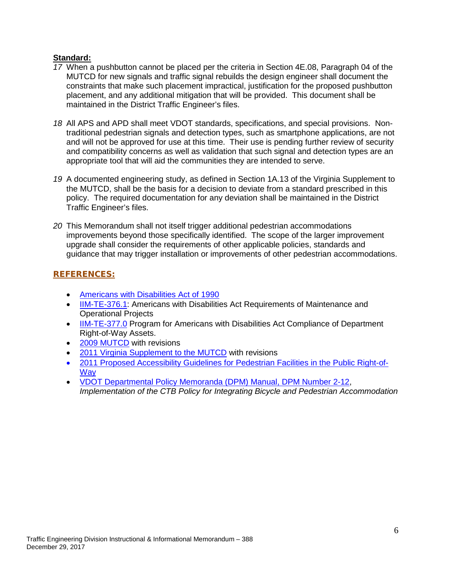## **Standard:**

- *17* When a pushbutton cannot be placed per the criteria in Section 4E.08, Paragraph 04 of the MUTCD for new signals and traffic signal rebuilds the design engineer shall document the constraints that make such placement impractical, justification for the proposed pushbutton placement, and any additional mitigation that will be provided. This document shall be maintained in the District Traffic Engineer's files.
- *18* All APS and APD shall meet VDOT standards, specifications, and special provisions. Nontraditional pedestrian signals and detection types, such as smartphone applications, are not and will not be approved for use at this time. Their use is pending further review of security and compatibility concerns as well as validation that such signal and detection types are an appropriate tool that will aid the communities they are intended to serve.
- *19* A documented engineering study, as defined in Section 1A.13 of the Virginia Supplement to the MUTCD, shall be the basis for a decision to deviate from a standard prescribed in this policy. The required documentation for any deviation shall be maintained in the District Traffic Engineer's files.
- *20* This Memorandum shall not itself trigger additional pedestrian accommodations improvements beyond those specifically identified. The scope of the larger improvement upgrade shall consider the requirements of other applicable policies, standards and guidance that may trigger installation or improvements of other pedestrian accommodations.

## **REFERENCES:**

- [Americans with Disabilities Act of 1990](https://www.ada.gov/2010_regs.htm)
- [IIM-TE-376.1:](http://www.virginiadot.org/business/traffic_engineering_memoranda.asp) Americans with Disabilities Act Requirements of Maintenance and Operational Projects
- IM-TE-377.0 Program for Americans with Disabilities Act Compliance of Department Right-of-Way Assets.
- [2009 MUTCD](https://mutcd.fhwa.dot.gov/pdfs/2009r1r2/pdf_index.htm) with revisions
- [2011 Virginia Supplement to the MUTCD](http://www.virginiadot.org/business/virginia_mutcd_supplement.asp) with revisions
- [2011 Proposed Accessibility Guidelines for Pedestrian Facilities in the Public Right-of-](https://www.access-board.gov/guidelines-and-standards/streets-sidewalks/public-rights-of-way/proposed-rights-of-way-guidelines/chapter-r2-scoping-requirements)**[Way](https://www.access-board.gov/guidelines-and-standards/streets-sidewalks/public-rights-of-way/proposed-rights-of-way-guidelines/chapter-r2-scoping-requirements)**
- [VDOT Departmental Policy Memoranda \(DPM\) Manual, DPM Number 2-12,](http://www.virginiadot.org/programs/resources/bike/FINAL_DPM2-12-2007.pdf) *Implementation of the CTB Policy for Integrating Bicycle and Pedestrian Accommodation*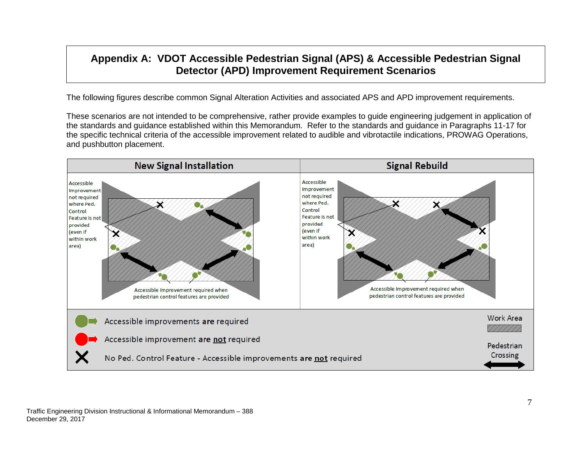# **Appendix A: VDOT Accessible Pedestrian Signal (APS) & Accessible Pedestrian Signal Detector (APD) Improvement Requirement Scenarios**

The following figures describe common Signal Alteration Activities and associated APS and APD improvement requirements.

These scenarios are not intended to be comprehensive, rather provide examples to guide engineering judgement in application of the standards and guidance established within this Memorandum. Refer to the standards and guidance in Paragraphs 11-17 for the specific technical criteria of the accessible improvement related to audible and vibrotactile indications, PROWAG Operations, and pushbutton placement.